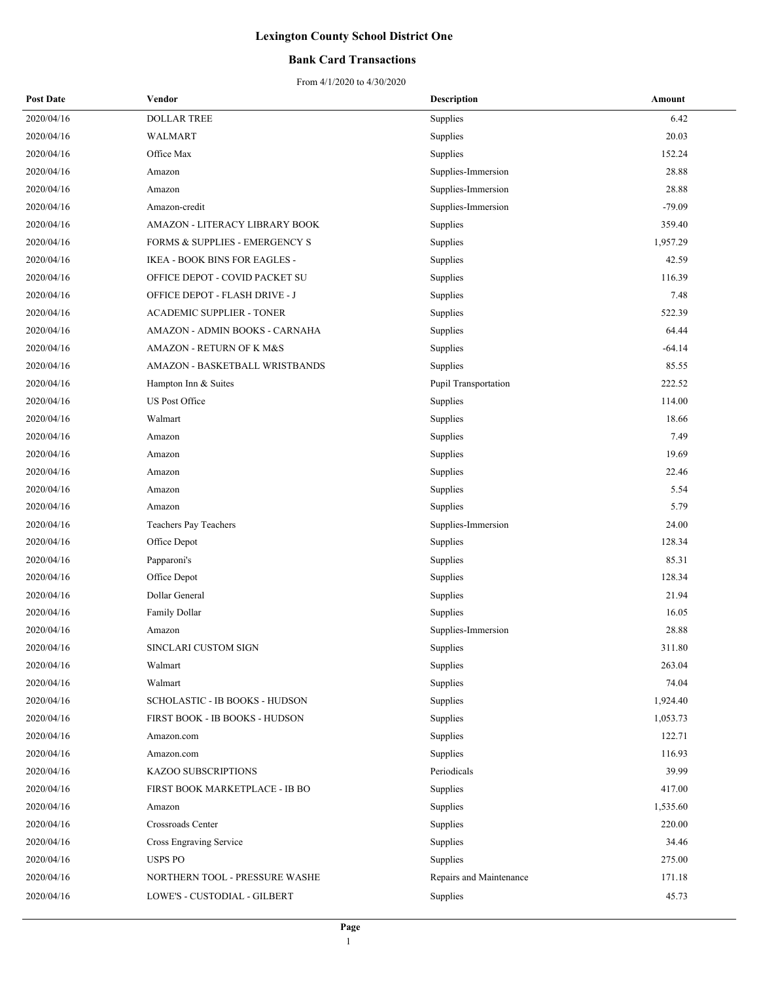### **Bank Card Transactions**

| <b>Post Date</b> | Vendor                                    | <b>Description</b>      | Amount   |
|------------------|-------------------------------------------|-------------------------|----------|
| 2020/04/16       | <b>DOLLAR TREE</b>                        | Supplies                | 6.42     |
| 2020/04/16       | <b>WALMART</b>                            | Supplies                | 20.03    |
| 2020/04/16       | Office Max                                | Supplies                | 152.24   |
| 2020/04/16       | Amazon                                    | Supplies-Immersion      | 28.88    |
| 2020/04/16       | Amazon                                    | Supplies-Immersion      | 28.88    |
| 2020/04/16       | Amazon-credit                             | Supplies-Immersion      | $-79.09$ |
| 2020/04/16       | AMAZON - LITERACY LIBRARY BOOK            | Supplies                | 359.40   |
| 2020/04/16       | <b>FORMS &amp; SUPPLIES - EMERGENCY S</b> | Supplies                | 1,957.29 |
| 2020/04/16       | IKEA - BOOK BINS FOR EAGLES -             | Supplies                | 42.59    |
| 2020/04/16       | OFFICE DEPOT - COVID PACKET SU            | Supplies                | 116.39   |
| 2020/04/16       | OFFICE DEPOT - FLASH DRIVE - J            | Supplies                | 7.48     |
| 2020/04/16       | <b>ACADEMIC SUPPLIER - TONER</b>          | Supplies                | 522.39   |
| 2020/04/16       | AMAZON - ADMIN BOOKS - CARNAHA            | Supplies                | 64.44    |
| 2020/04/16       | AMAZON - RETURN OF K M&S                  | Supplies                | $-64.14$ |
| 2020/04/16       | AMAZON - BASKETBALL WRISTBANDS            | Supplies                | 85.55    |
| 2020/04/16       | Hampton Inn & Suites                      | Pupil Transportation    | 222.52   |
| 2020/04/16       | US Post Office                            | Supplies                | 114.00   |
| 2020/04/16       | Walmart                                   | Supplies                | 18.66    |
| 2020/04/16       | Amazon                                    | Supplies                | 7.49     |
| 2020/04/16       | Amazon                                    | Supplies                | 19.69    |
| 2020/04/16       | Amazon                                    | Supplies                | 22.46    |
| 2020/04/16       | Amazon                                    | Supplies                | 5.54     |
| 2020/04/16       | Amazon                                    | Supplies                | 5.79     |
| 2020/04/16       | Teachers Pay Teachers                     | Supplies-Immersion      | 24.00    |
| 2020/04/16       | Office Depot                              | Supplies                | 128.34   |
| 2020/04/16       | Papparoni's                               | Supplies                | 85.31    |
| 2020/04/16       | Office Depot                              | Supplies                | 128.34   |
| 2020/04/16       | Dollar General                            | Supplies                | 21.94    |
| 2020/04/16       | Family Dollar                             | Supplies                | 16.05    |
| 2020/04/16       | Amazon                                    | Supplies-Immersion      | 28.88    |
| 2020/04/16       | SINCLARI CUSTOM SIGN                      | Supplies                | 311.80   |
| 2020/04/16       | Walmart                                   | Supplies                | 263.04   |
| 2020/04/16       | Walmart                                   | Supplies                | 74.04    |
| 2020/04/16       | SCHOLASTIC - IB BOOKS - HUDSON            | Supplies                | 1,924.40 |
| 2020/04/16       | FIRST BOOK - IB BOOKS - HUDSON            | Supplies                | 1,053.73 |
| 2020/04/16       | Amazon.com                                | Supplies                | 122.71   |
| 2020/04/16       | Amazon.com                                | Supplies                | 116.93   |
| 2020/04/16       | KAZOO SUBSCRIPTIONS                       | Periodicals             | 39.99    |
| 2020/04/16       | FIRST BOOK MARKETPLACE - IB BO            | Supplies                | 417.00   |
| 2020/04/16       | Amazon                                    | Supplies                | 1,535.60 |
| 2020/04/16       | Crossroads Center                         | Supplies                | 220.00   |
| 2020/04/16       | Cross Engraving Service                   | Supplies                | 34.46    |
| 2020/04/16       | USPS PO                                   | Supplies                | 275.00   |
| 2020/04/16       | NORTHERN TOOL - PRESSURE WASHE            | Repairs and Maintenance | 171.18   |
| 2020/04/16       | LOWE'S - CUSTODIAL - GILBERT              | Supplies                | 45.73    |
|                  |                                           |                         |          |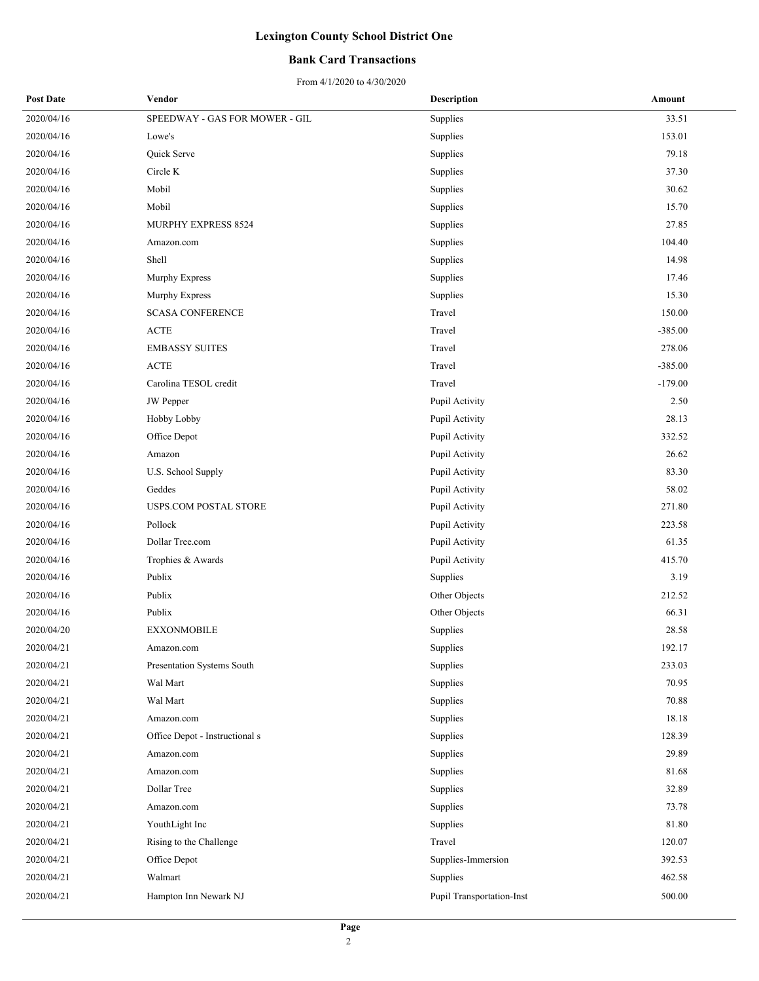### **Bank Card Transactions**

| <b>Post Date</b> | Vendor                         | <b>Description</b>        | Amount    |
|------------------|--------------------------------|---------------------------|-----------|
| 2020/04/16       | SPEEDWAY - GAS FOR MOWER - GIL | Supplies                  | 33.51     |
| 2020/04/16       | Lowe's                         | Supplies                  | 153.01    |
| 2020/04/16       | Quick Serve                    | Supplies                  | 79.18     |
| 2020/04/16       | Circle K                       | Supplies                  | 37.30     |
| 2020/04/16       | Mobil                          | Supplies                  | 30.62     |
| 2020/04/16       | Mobil                          | Supplies                  | 15.70     |
| 2020/04/16       | MURPHY EXPRESS 8524            | Supplies                  | 27.85     |
| 2020/04/16       | Amazon.com                     | Supplies                  | 104.40    |
| 2020/04/16       | Shell                          | Supplies                  | 14.98     |
| 2020/04/16       | Murphy Express                 | Supplies                  | 17.46     |
| 2020/04/16       | Murphy Express                 | Supplies                  | 15.30     |
| 2020/04/16       | <b>SCASA CONFERENCE</b>        | Travel                    | 150.00    |
| 2020/04/16       | <b>ACTE</b>                    | Travel                    | $-385.00$ |
| 2020/04/16       | <b>EMBASSY SUITES</b>          | Travel                    | 278.06    |
| 2020/04/16       | <b>ACTE</b>                    | Travel                    | $-385.00$ |
| 2020/04/16       | Carolina TESOL credit          | Travel                    | $-179.00$ |
| 2020/04/16       | JW Pepper                      | Pupil Activity            | 2.50      |
| 2020/04/16       | Hobby Lobby                    | Pupil Activity            | 28.13     |
| 2020/04/16       | Office Depot                   | Pupil Activity            | 332.52    |
| 2020/04/16       | Amazon                         | Pupil Activity            | 26.62     |
| 2020/04/16       | U.S. School Supply             | Pupil Activity            | 83.30     |
| 2020/04/16       | Geddes                         | Pupil Activity            | 58.02     |
| 2020/04/16       | USPS.COM POSTAL STORE          | Pupil Activity            | 271.80    |
| 2020/04/16       | Pollock                        | Pupil Activity            | 223.58    |
| 2020/04/16       | Dollar Tree.com                | Pupil Activity            | 61.35     |
| 2020/04/16       | Trophies & Awards              | Pupil Activity            | 415.70    |
| 2020/04/16       | Publix                         | Supplies                  | 3.19      |
| 2020/04/16       | Publix                         | Other Objects             | 212.52    |
| 2020/04/16       | Publix                         | Other Objects             | 66.31     |
| 2020/04/20       | <b>EXXONMOBILE</b>             | Supplies                  | 28.58     |
| 2020/04/21       | Amazon.com                     | Supplies                  | 192.17    |
| 2020/04/21       | Presentation Systems South     | Supplies                  | 233.03    |
| 2020/04/21       | Wal Mart                       | Supplies                  | 70.95     |
| 2020/04/21       | Wal Mart                       | Supplies                  | 70.88     |
| 2020/04/21       | Amazon.com                     | Supplies                  | 18.18     |
| 2020/04/21       | Office Depot - Instructional s | Supplies                  | 128.39    |
| 2020/04/21       | Amazon.com                     | Supplies                  | 29.89     |
| 2020/04/21       | Amazon.com                     | Supplies                  | 81.68     |
| 2020/04/21       | Dollar Tree                    | Supplies                  | 32.89     |
| 2020/04/21       | Amazon.com                     | Supplies                  | 73.78     |
| 2020/04/21       | YouthLight Inc                 | Supplies                  | 81.80     |
| 2020/04/21       | Rising to the Challenge        | Travel                    | 120.07    |
| 2020/04/21       | Office Depot                   | Supplies-Immersion        | 392.53    |
| 2020/04/21       | Walmart                        | Supplies                  | 462.58    |
| 2020/04/21       | Hampton Inn Newark NJ          | Pupil Transportation-Inst | 500.00    |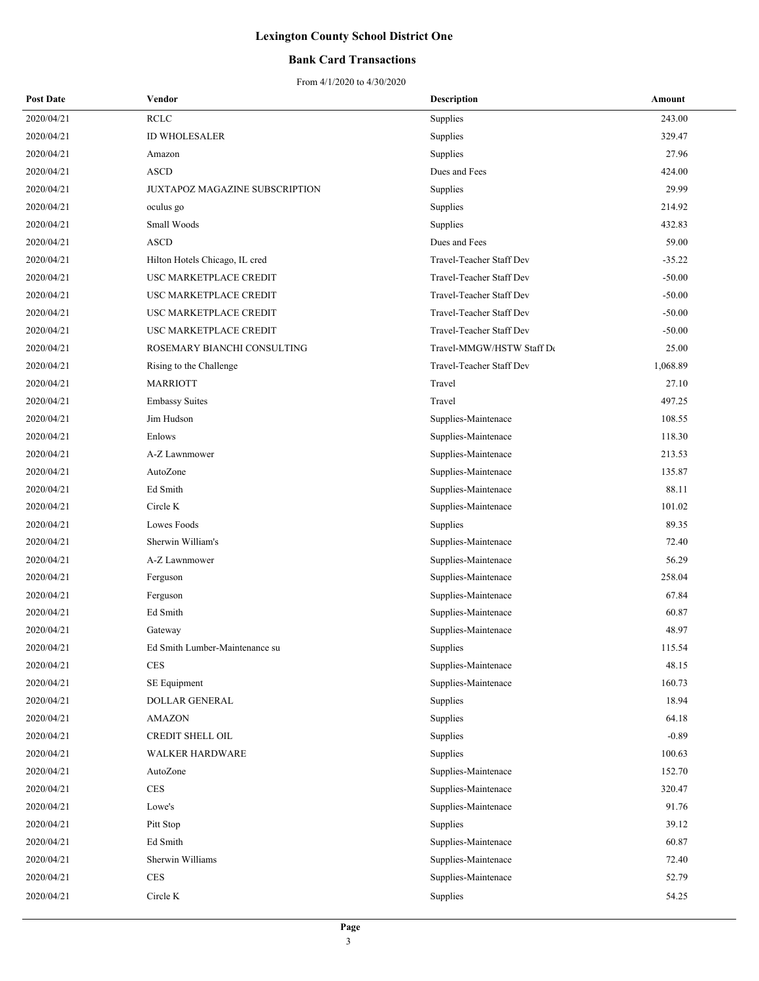### **Bank Card Transactions**

| <b>Post Date</b> | Vendor                         | <b>Description</b>        | Amount   |
|------------------|--------------------------------|---------------------------|----------|
| 2020/04/21       | <b>RCLC</b>                    | Supplies                  | 243.00   |
| 2020/04/21       | ID WHOLESALER                  | Supplies                  | 329.47   |
| 2020/04/21       | Amazon                         | Supplies                  | 27.96    |
| 2020/04/21       | <b>ASCD</b>                    | Dues and Fees             | 424.00   |
| 2020/04/21       | JUXTAPOZ MAGAZINE SUBSCRIPTION | Supplies                  | 29.99    |
| 2020/04/21       | oculus go                      | Supplies                  | 214.92   |
| 2020/04/21       | Small Woods                    | Supplies                  | 432.83   |
| 2020/04/21       | <b>ASCD</b>                    | Dues and Fees             | 59.00    |
| 2020/04/21       | Hilton Hotels Chicago, IL cred | Travel-Teacher Staff Dev  | $-35.22$ |
| 2020/04/21       | USC MARKETPLACE CREDIT         | Travel-Teacher Staff Dev  | $-50.00$ |
| 2020/04/21       | USC MARKETPLACE CREDIT         | Travel-Teacher Staff Dev  | $-50.00$ |
| 2020/04/21       | USC MARKETPLACE CREDIT         | Travel-Teacher Staff Dev  | $-50.00$ |
| 2020/04/21       | USC MARKETPLACE CREDIT         | Travel-Teacher Staff Dev  | $-50.00$ |
| 2020/04/21       | ROSEMARY BIANCHI CONSULTING    | Travel-MMGW/HSTW Staff De | 25.00    |
| 2020/04/21       | Rising to the Challenge        | Travel-Teacher Staff Dev  | 1,068.89 |
| 2020/04/21       | <b>MARRIOTT</b>                | Travel                    | 27.10    |
| 2020/04/21       | <b>Embassy Suites</b>          | Travel                    | 497.25   |
| 2020/04/21       | Jim Hudson                     | Supplies-Maintenace       | 108.55   |
| 2020/04/21       | Enlows                         | Supplies-Maintenace       | 118.30   |
| 2020/04/21       | A-Z Lawnmower                  | Supplies-Maintenace       | 213.53   |
| 2020/04/21       | AutoZone                       | Supplies-Maintenace       | 135.87   |
| 2020/04/21       | Ed Smith                       | Supplies-Maintenace       | 88.11    |
| 2020/04/21       | Circle K                       | Supplies-Maintenace       | 101.02   |
| 2020/04/21       | Lowes Foods                    | Supplies                  | 89.35    |
| 2020/04/21       | Sherwin William's              | Supplies-Maintenace       | 72.40    |
| 2020/04/21       | A-Z Lawnmower                  | Supplies-Maintenace       | 56.29    |
| 2020/04/21       | Ferguson                       | Supplies-Maintenace       | 258.04   |
| 2020/04/21       | Ferguson                       | Supplies-Maintenace       | 67.84    |
| 2020/04/21       | Ed Smith                       | Supplies-Maintenace       | 60.87    |
| 2020/04/21       | Gateway                        | Supplies-Maintenace       | 48.97    |
| 2020/04/21       | Ed Smith Lumber-Maintenance su | Supplies                  | 115.54   |
| 2020/04/21       | $\rm{CES}$                     | Supplies-Maintenace       | 48.15    |
| 2020/04/21       | SE Equipment                   | Supplies-Maintenace       | 160.73   |
| 2020/04/21       | <b>DOLLAR GENERAL</b>          | Supplies                  | 18.94    |
| 2020/04/21       | AMAZON                         | Supplies                  | 64.18    |
| 2020/04/21       | CREDIT SHELL OIL               | Supplies                  | $-0.89$  |
| 2020/04/21       | WALKER HARDWARE                | Supplies                  | 100.63   |
| 2020/04/21       | AutoZone                       | Supplies-Maintenace       | 152.70   |
| 2020/04/21       | <b>CES</b>                     | Supplies-Maintenace       | 320.47   |
| 2020/04/21       | Lowe's                         | Supplies-Maintenace       | 91.76    |
| 2020/04/21       | Pitt Stop                      | Supplies                  | 39.12    |
| 2020/04/21       | Ed Smith                       | Supplies-Maintenace       | 60.87    |
| 2020/04/21       | Sherwin Williams               | Supplies-Maintenace       | 72.40    |
| 2020/04/21       | CES                            | Supplies-Maintenace       | 52.79    |
| 2020/04/21       | Circle K                       | Supplies                  | 54.25    |
|                  |                                |                           |          |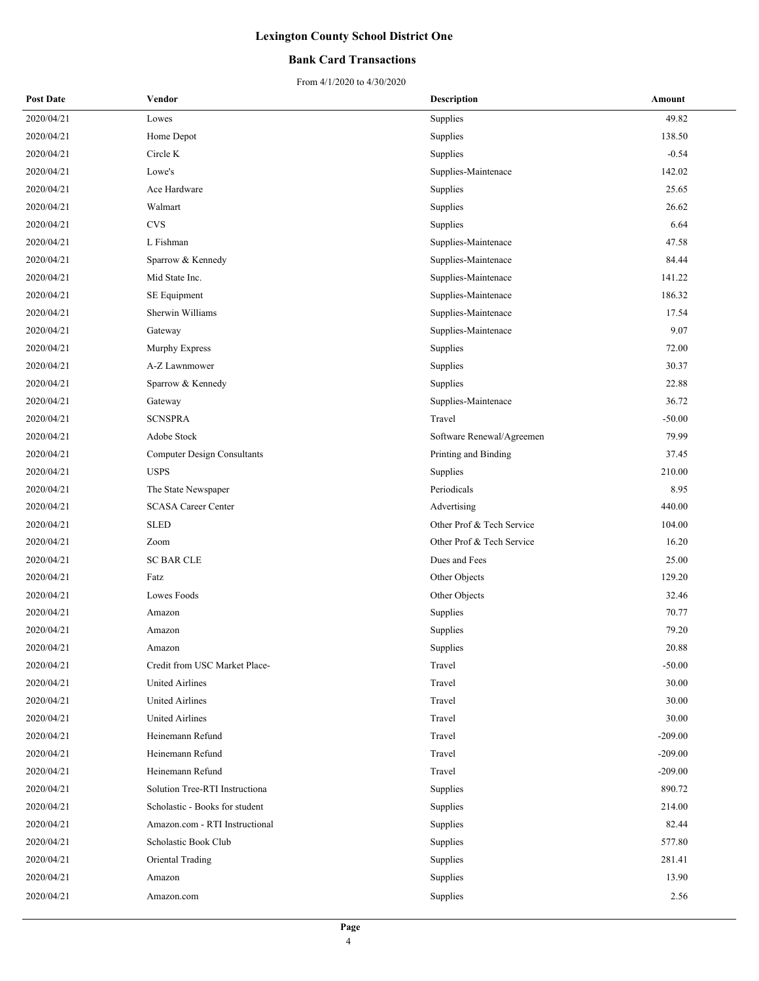### **Bank Card Transactions**

| <b>Post Date</b> | Vendor                             | <b>Description</b>        | Amount    |
|------------------|------------------------------------|---------------------------|-----------|
| 2020/04/21       | Lowes                              | Supplies                  | 49.82     |
| 2020/04/21       | Home Depot                         | Supplies                  | 138.50    |
| 2020/04/21       | Circle K                           | Supplies                  | $-0.54$   |
| 2020/04/21       | Lowe's                             | Supplies-Maintenace       | 142.02    |
| 2020/04/21       | Ace Hardware                       | Supplies                  | 25.65     |
| 2020/04/21       | Walmart                            | Supplies                  | 26.62     |
| 2020/04/21       | <b>CVS</b>                         | Supplies                  | 6.64      |
| 2020/04/21       | L Fishman                          | Supplies-Maintenace       | 47.58     |
| 2020/04/21       | Sparrow & Kennedy                  | Supplies-Maintenace       | 84.44     |
| 2020/04/21       | Mid State Inc.                     | Supplies-Maintenace       | 141.22    |
| 2020/04/21       | SE Equipment                       | Supplies-Maintenace       | 186.32    |
| 2020/04/21       | Sherwin Williams                   | Supplies-Maintenace       | 17.54     |
| 2020/04/21       | Gateway                            | Supplies-Maintenace       | 9.07      |
| 2020/04/21       | Murphy Express                     | Supplies                  | 72.00     |
| 2020/04/21       | A-Z Lawnmower                      | Supplies                  | 30.37     |
| 2020/04/21       | Sparrow & Kennedy                  | Supplies                  | 22.88     |
| 2020/04/21       | Gateway                            | Supplies-Maintenace       | 36.72     |
| 2020/04/21       | <b>SCNSPRA</b>                     | Travel                    | $-50.00$  |
| 2020/04/21       | Adobe Stock                        | Software Renewal/Agreemen | 79.99     |
| 2020/04/21       | <b>Computer Design Consultants</b> | Printing and Binding      | 37.45     |
| 2020/04/21       | <b>USPS</b>                        | Supplies                  | 210.00    |
| 2020/04/21       | The State Newspaper                | Periodicals               | 8.95      |
| 2020/04/21       | <b>SCASA Career Center</b>         | Advertising               | 440.00    |
| 2020/04/21       | <b>SLED</b>                        | Other Prof & Tech Service | 104.00    |
| 2020/04/21       | Zoom                               | Other Prof & Tech Service | 16.20     |
| 2020/04/21       | <b>SC BAR CLE</b>                  | Dues and Fees             | 25.00     |
| 2020/04/21       | Fatz                               | Other Objects             | 129.20    |
| 2020/04/21       | Lowes Foods                        | Other Objects             | 32.46     |
| 2020/04/21       | Amazon                             | Supplies                  | 70.77     |
| 2020/04/21       | Amazon                             | Supplies                  | 79.20     |
| 2020/04/21       | Amazon                             | Supplies                  | 20.88     |
| 2020/04/21       | Credit from USC Market Place-      | Travel                    | $-50.00$  |
| 2020/04/21       | <b>United Airlines</b>             | Travel                    | 30.00     |
| 2020/04/21       | United Airlines                    | Travel                    | 30.00     |
| 2020/04/21       | <b>United Airlines</b>             | Travel                    | 30.00     |
| 2020/04/21       | Heinemann Refund                   | Travel                    | $-209.00$ |
| 2020/04/21       | Heinemann Refund                   | Travel                    | $-209.00$ |
| 2020/04/21       | Heinemann Refund                   | Travel                    | $-209.00$ |
| 2020/04/21       | Solution Tree-RTI Instructiona     | Supplies                  | 890.72    |
| 2020/04/21       | Scholastic - Books for student     | Supplies                  | 214.00    |
| 2020/04/21       | Amazon.com - RTI Instructional     | Supplies                  | 82.44     |
| 2020/04/21       | Scholastic Book Club               | Supplies                  | 577.80    |
| 2020/04/21       | Oriental Trading                   | Supplies                  | 281.41    |
| 2020/04/21       | Amazon                             | Supplies                  | 13.90     |
| 2020/04/21       | Amazon.com                         | Supplies                  | 2.56      |
|                  |                                    |                           |           |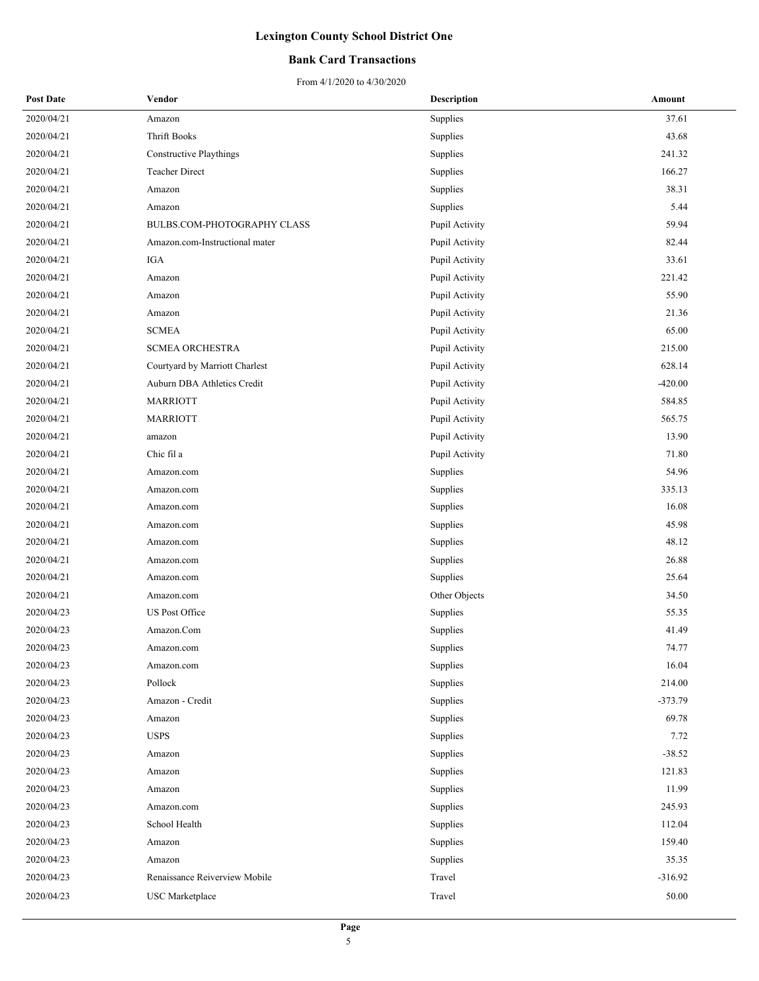### **Bank Card Transactions**

| <b>Post Date</b> | Vendor                             | <b>Description</b> | Amount    |
|------------------|------------------------------------|--------------------|-----------|
| 2020/04/21       | Amazon                             | Supplies           | 37.61     |
| 2020/04/21       | <b>Thrift Books</b>                | Supplies           | 43.68     |
| 2020/04/21       | <b>Constructive Playthings</b>     | Supplies           | 241.32    |
| 2020/04/21       | Teacher Direct                     | Supplies           | 166.27    |
| 2020/04/21       | Amazon                             | Supplies           | 38.31     |
| 2020/04/21       | Amazon                             | Supplies           | 5.44      |
| 2020/04/21       | <b>BULBS.COM-PHOTOGRAPHY CLASS</b> | Pupil Activity     | 59.94     |
| 2020/04/21       | Amazon.com-Instructional mater     | Pupil Activity     | 82.44     |
| 2020/04/21       | IGA                                | Pupil Activity     | 33.61     |
| 2020/04/21       | Amazon                             | Pupil Activity     | 221.42    |
| 2020/04/21       | Amazon                             | Pupil Activity     | 55.90     |
| 2020/04/21       | Amazon                             | Pupil Activity     | 21.36     |
| 2020/04/21       | <b>SCMEA</b>                       | Pupil Activity     | 65.00     |
| 2020/04/21       | <b>SCMEA ORCHESTRA</b>             | Pupil Activity     | 215.00    |
| 2020/04/21       | Courtyard by Marriott Charlest     | Pupil Activity     | 628.14    |
| 2020/04/21       | Auburn DBA Athletics Credit        | Pupil Activity     | $-420.00$ |
| 2020/04/21       | <b>MARRIOTT</b>                    | Pupil Activity     | 584.85    |
| 2020/04/21       | <b>MARRIOTT</b>                    | Pupil Activity     | 565.75    |
| 2020/04/21       | amazon                             | Pupil Activity     | 13.90     |
| 2020/04/21       | Chic fil a                         | Pupil Activity     | 71.80     |
| 2020/04/21       | Amazon.com                         | Supplies           | 54.96     |
| 2020/04/21       | Amazon.com                         | Supplies           | 335.13    |
| 2020/04/21       | Amazon.com                         | Supplies           | 16.08     |
| 2020/04/21       | Amazon.com                         | Supplies           | 45.98     |
| 2020/04/21       | Amazon.com                         | Supplies           | 48.12     |
| 2020/04/21       | Amazon.com                         | Supplies           | 26.88     |
| 2020/04/21       | Amazon.com                         | Supplies           | 25.64     |
| 2020/04/21       | Amazon.com                         | Other Objects      | 34.50     |
| 2020/04/23       | <b>US Post Office</b>              | Supplies           | 55.35     |
| 2020/04/23       | Amazon.Com                         | Supplies           | 41.49     |
| 2020/04/23       | Amazon.com                         | Supplies           | 74.77     |
| 2020/04/23       | Amazon.com                         | Supplies           | 16.04     |
| 2020/04/23       | Pollock                            | Supplies           | 214.00    |
| 2020/04/23       | Amazon - Credit                    | Supplies           | $-373.79$ |
| 2020/04/23       | Amazon                             | Supplies           | 69.78     |
| 2020/04/23       | <b>USPS</b>                        | Supplies           | 7.72      |
| 2020/04/23       | Amazon                             | Supplies           | $-38.52$  |
| 2020/04/23       | Amazon                             | Supplies           | 121.83    |
| 2020/04/23       | Amazon                             | Supplies           | 11.99     |
| 2020/04/23       | Amazon.com                         | Supplies           | 245.93    |
| 2020/04/23       | School Health                      | Supplies           | 112.04    |
| 2020/04/23       | Amazon                             | Supplies           | 159.40    |
| 2020/04/23       | Amazon                             | Supplies           | 35.35     |
| 2020/04/23       | Renaissance Reiverview Mobile      | Travel             | $-316.92$ |
| 2020/04/23       | <b>USC</b> Marketplace             | Travel             | 50.00     |
|                  |                                    |                    |           |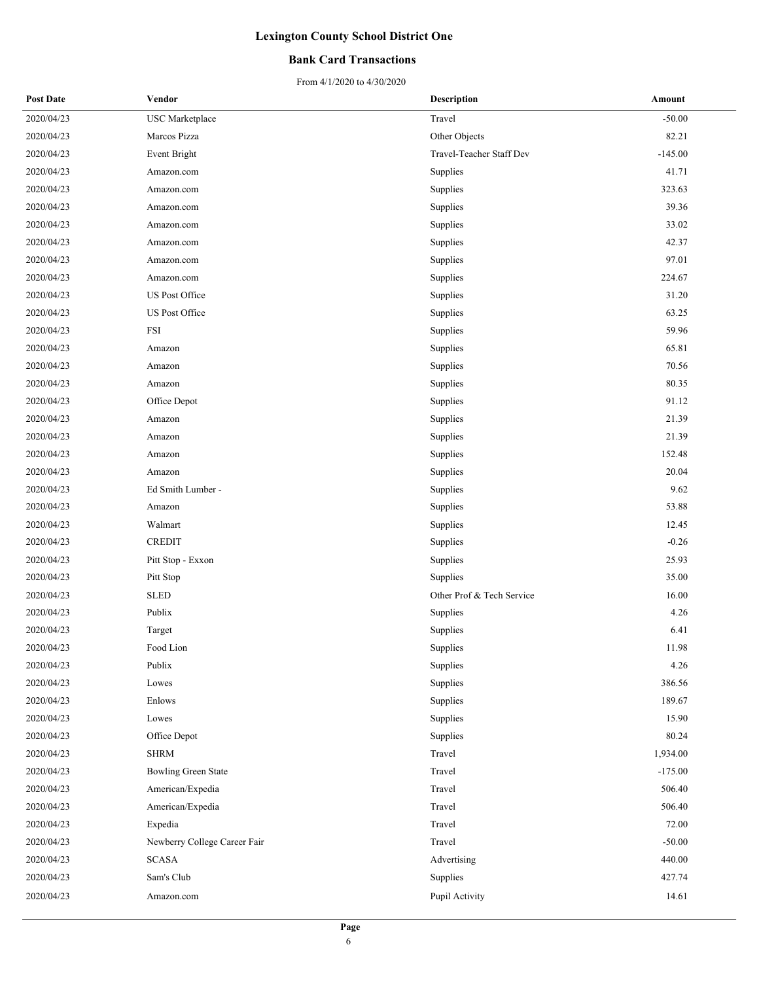### **Bank Card Transactions**

| <b>Post Date</b> | Vendor                       | <b>Description</b>        | Amount    |
|------------------|------------------------------|---------------------------|-----------|
| 2020/04/23       | <b>USC</b> Marketplace       | Travel                    | $-50.00$  |
| 2020/04/23       | Marcos Pizza                 | Other Objects             | 82.21     |
| 2020/04/23       | <b>Event Bright</b>          | Travel-Teacher Staff Dev  | $-145.00$ |
| 2020/04/23       | Amazon.com                   | Supplies                  | 41.71     |
| 2020/04/23       | Amazon.com                   | Supplies                  | 323.63    |
| 2020/04/23       | Amazon.com                   | Supplies                  | 39.36     |
| 2020/04/23       | Amazon.com                   | Supplies                  | 33.02     |
| 2020/04/23       | Amazon.com                   | Supplies                  | 42.37     |
| 2020/04/23       | Amazon.com                   | Supplies                  | 97.01     |
| 2020/04/23       | Amazon.com                   | Supplies                  | 224.67    |
| 2020/04/23       | US Post Office               | Supplies                  | 31.20     |
| 2020/04/23       | US Post Office               | Supplies                  | 63.25     |
| 2020/04/23       | FSI                          | Supplies                  | 59.96     |
| 2020/04/23       | Amazon                       | Supplies                  | 65.81     |
| 2020/04/23       | Amazon                       | Supplies                  | 70.56     |
| 2020/04/23       | Amazon                       | Supplies                  | 80.35     |
| 2020/04/23       | Office Depot                 | Supplies                  | 91.12     |
| 2020/04/23       | Amazon                       | Supplies                  | 21.39     |
| 2020/04/23       | Amazon                       | Supplies                  | 21.39     |
| 2020/04/23       | Amazon                       | Supplies                  | 152.48    |
| 2020/04/23       | Amazon                       | Supplies                  | 20.04     |
| 2020/04/23       | Ed Smith Lumber -            | Supplies                  | 9.62      |
| 2020/04/23       | Amazon                       | Supplies                  | 53.88     |
| 2020/04/23       | Walmart                      | Supplies                  | 12.45     |
| 2020/04/23       | <b>CREDIT</b>                | Supplies                  | $-0.26$   |
| 2020/04/23       | Pitt Stop - Exxon            | Supplies                  | 25.93     |
| 2020/04/23       | Pitt Stop                    | Supplies                  | 35.00     |
| 2020/04/23       | <b>SLED</b>                  | Other Prof & Tech Service | 16.00     |
| 2020/04/23       | Publix                       | Supplies                  | 4.26      |
| 2020/04/23       | Target                       | Supplies                  | 6.41      |
| 2020/04/23       | Food Lion                    | Supplies                  | 11.98     |
| 2020/04/23       | Publix                       | Supplies                  | 4.26      |
| 2020/04/23       | Lowes                        | Supplies                  | 386.56    |
| 2020/04/23       | Enlows                       | Supplies                  | 189.67    |
| 2020/04/23       | Lowes                        | Supplies                  | 15.90     |
| 2020/04/23       | Office Depot                 | Supplies                  | 80.24     |
| 2020/04/23       | <b>SHRM</b>                  | Travel                    | 1,934.00  |
| 2020/04/23       | <b>Bowling Green State</b>   | Travel                    | $-175.00$ |
| 2020/04/23       | American/Expedia             | Travel                    | 506.40    |
| 2020/04/23       | American/Expedia             | Travel                    | 506.40    |
| 2020/04/23       | Expedia                      | Travel                    | 72.00     |
| 2020/04/23       | Newberry College Career Fair | Travel                    | $-50.00$  |
| 2020/04/23       | <b>SCASA</b>                 | Advertising               | 440.00    |
| 2020/04/23       | Sam's Club                   | Supplies                  | 427.74    |
| 2020/04/23       | Amazon.com                   | Pupil Activity            | 14.61     |
|                  |                              |                           |           |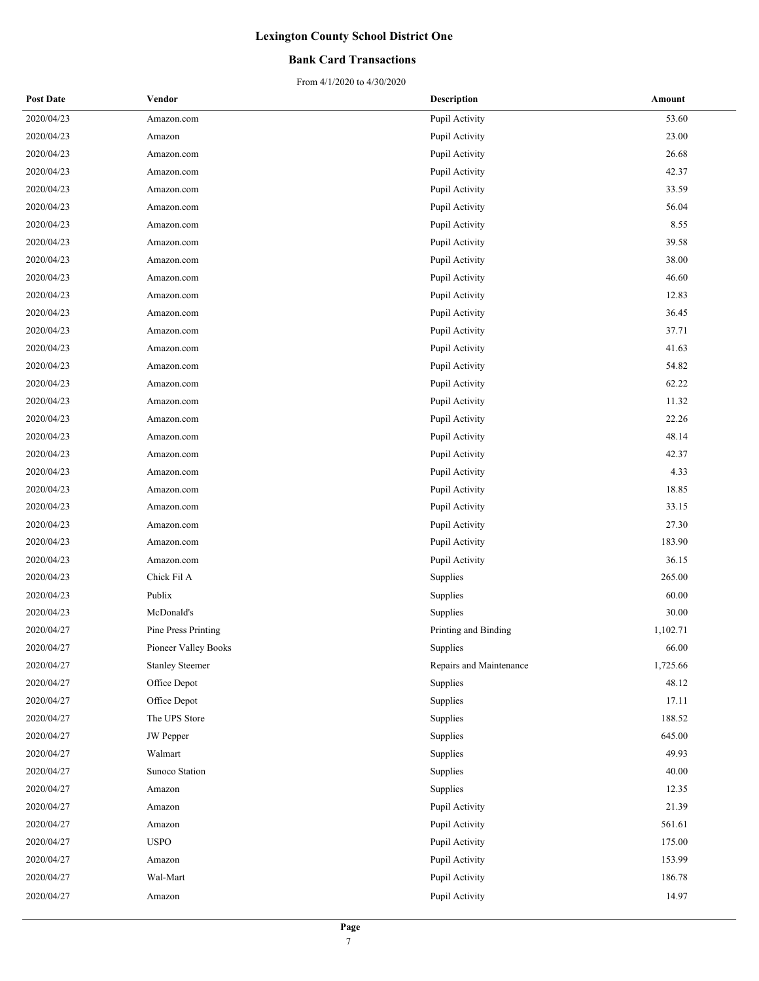### **Bank Card Transactions**

| <b>Post Date</b> | Vendor                 | <b>Description</b>      | Amount   |
|------------------|------------------------|-------------------------|----------|
| 2020/04/23       | Amazon.com             | Pupil Activity          | 53.60    |
| 2020/04/23       | Amazon                 | Pupil Activity          | 23.00    |
| 2020/04/23       | Amazon.com             | Pupil Activity          | 26.68    |
| 2020/04/23       | Amazon.com             | Pupil Activity          | 42.37    |
| 2020/04/23       | Amazon.com             | Pupil Activity          | 33.59    |
| 2020/04/23       | Amazon.com             | Pupil Activity          | 56.04    |
| 2020/04/23       | Amazon.com             | Pupil Activity          | 8.55     |
| 2020/04/23       | Amazon.com             | Pupil Activity          | 39.58    |
| 2020/04/23       | Amazon.com             | Pupil Activity          | 38.00    |
| 2020/04/23       | Amazon.com             | Pupil Activity          | 46.60    |
| 2020/04/23       | Amazon.com             | Pupil Activity          | 12.83    |
| 2020/04/23       | Amazon.com             | Pupil Activity          | 36.45    |
| 2020/04/23       | Amazon.com             | Pupil Activity          | 37.71    |
| 2020/04/23       | Amazon.com             | Pupil Activity          | 41.63    |
| 2020/04/23       | Amazon.com             | Pupil Activity          | 54.82    |
| 2020/04/23       | Amazon.com             | Pupil Activity          | 62.22    |
| 2020/04/23       | Amazon.com             | Pupil Activity          | 11.32    |
| 2020/04/23       | Amazon.com             | Pupil Activity          | 22.26    |
| 2020/04/23       | Amazon.com             | Pupil Activity          | 48.14    |
| 2020/04/23       | Amazon.com             | Pupil Activity          | 42.37    |
| 2020/04/23       | Amazon.com             | Pupil Activity          | 4.33     |
| 2020/04/23       | Amazon.com             | Pupil Activity          | 18.85    |
| 2020/04/23       | Amazon.com             | Pupil Activity          | 33.15    |
| 2020/04/23       | Amazon.com             | Pupil Activity          | 27.30    |
| 2020/04/23       | Amazon.com             | Pupil Activity          | 183.90   |
| 2020/04/23       | Amazon.com             | Pupil Activity          | 36.15    |
| 2020/04/23       | Chick Fil A            | Supplies                | 265.00   |
| 2020/04/23       | Publix                 | Supplies                | 60.00    |
| 2020/04/23       | McDonald's             | Supplies                | 30.00    |
| 2020/04/27       | Pine Press Printing    | Printing and Binding    | 1,102.71 |
| 2020/04/27       | Pioneer Valley Books   | Supplies                | 66.00    |
| 2020/04/27       | <b>Stanley Steemer</b> | Repairs and Maintenance | 1,725.66 |
| 2020/04/27       | Office Depot           | Supplies                | 48.12    |
| 2020/04/27       | Office Depot           | Supplies                | 17.11    |
| 2020/04/27       | The UPS Store          | Supplies                | 188.52   |
| 2020/04/27       | JW Pepper              | Supplies                | 645.00   |
| 2020/04/27       | Walmart                | Supplies                | 49.93    |
| 2020/04/27       | Sunoco Station         | Supplies                | 40.00    |
| 2020/04/27       | Amazon                 | Supplies                | 12.35    |
| 2020/04/27       | Amazon                 | Pupil Activity          | 21.39    |
| 2020/04/27       | Amazon                 | Pupil Activity          | 561.61   |
| 2020/04/27       | <b>USPO</b>            | Pupil Activity          | 175.00   |
| 2020/04/27       | Amazon                 | Pupil Activity          | 153.99   |
| 2020/04/27       | Wal-Mart               | Pupil Activity          | 186.78   |
| 2020/04/27       | Amazon                 | Pupil Activity          | 14.97    |
|                  |                        |                         |          |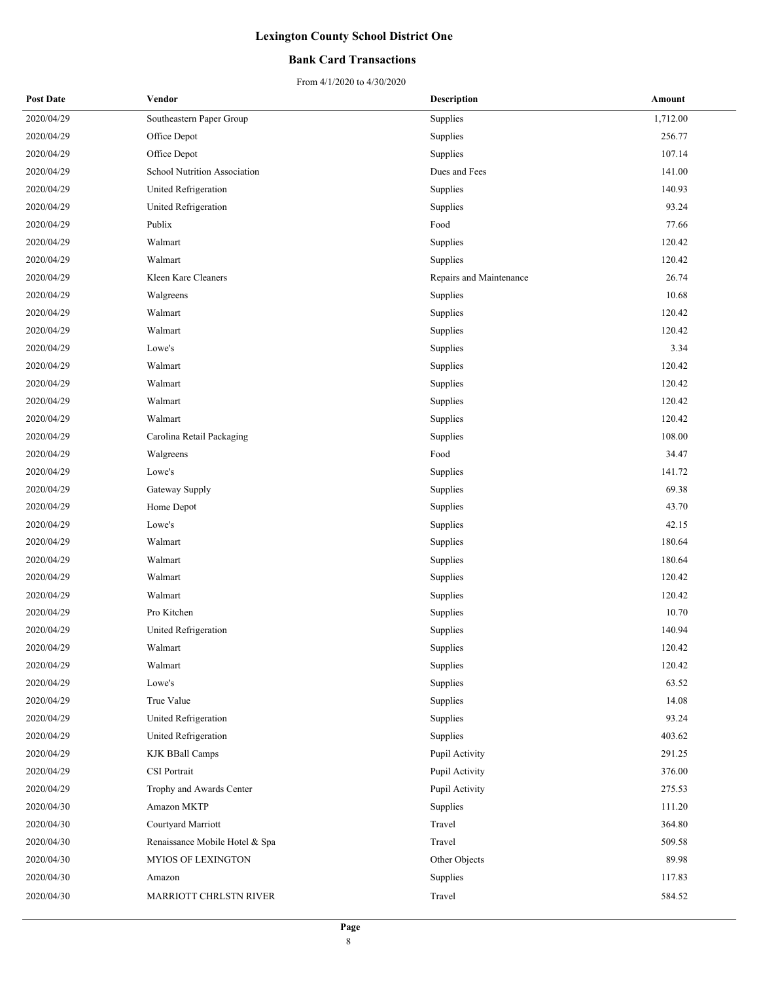### **Bank Card Transactions**

| <b>Post Date</b> | Vendor                         | <b>Description</b>      | Amount   |
|------------------|--------------------------------|-------------------------|----------|
| 2020/04/29       | Southeastern Paper Group       | Supplies                | 1,712.00 |
| 2020/04/29       | Office Depot                   | Supplies                | 256.77   |
| 2020/04/29       | Office Depot                   | Supplies                | 107.14   |
| 2020/04/29       | School Nutrition Association   | Dues and Fees           | 141.00   |
| 2020/04/29       | United Refrigeration           | Supplies                | 140.93   |
| 2020/04/29       | United Refrigeration           | Supplies                | 93.24    |
| 2020/04/29       | Publix                         | Food                    | 77.66    |
| 2020/04/29       | Walmart                        | Supplies                | 120.42   |
| 2020/04/29       | Walmart                        | Supplies                | 120.42   |
| 2020/04/29       | Kleen Kare Cleaners            | Repairs and Maintenance | 26.74    |
| 2020/04/29       | Walgreens                      | Supplies                | 10.68    |
| 2020/04/29       | Walmart                        | Supplies                | 120.42   |
| 2020/04/29       | Walmart                        | Supplies                | 120.42   |
| 2020/04/29       | Lowe's                         | Supplies                | 3.34     |
| 2020/04/29       | Walmart                        | Supplies                | 120.42   |
| 2020/04/29       | Walmart                        | Supplies                | 120.42   |
| 2020/04/29       | Walmart                        | Supplies                | 120.42   |
| 2020/04/29       | Walmart                        | Supplies                | 120.42   |
| 2020/04/29       | Carolina Retail Packaging      | Supplies                | 108.00   |
| 2020/04/29       | Walgreens                      | Food                    | 34.47    |
| 2020/04/29       | Lowe's                         | Supplies                | 141.72   |
| 2020/04/29       | Gateway Supply                 | Supplies                | 69.38    |
| 2020/04/29       | Home Depot                     | Supplies                | 43.70    |
| 2020/04/29       | Lowe's                         | Supplies                | 42.15    |
| 2020/04/29       | Walmart                        | Supplies                | 180.64   |
| 2020/04/29       | Walmart                        | Supplies                | 180.64   |
| 2020/04/29       | Walmart                        | Supplies                | 120.42   |
| 2020/04/29       | Walmart                        | Supplies                | 120.42   |
| 2020/04/29       | Pro Kitchen                    | Supplies                | 10.70    |
| 2020/04/29       | United Refrigeration           | Supplies                | 140.94   |
| 2020/04/29       | Walmart                        | Supplies                | 120.42   |
| 2020/04/29       | Walmart                        | Supplies                | 120.42   |
| 2020/04/29       | Lowe's                         | Supplies                | 63.52    |
| 2020/04/29       | True Value                     | Supplies                | 14.08    |
| 2020/04/29       | United Refrigeration           | Supplies                | 93.24    |
| 2020/04/29       | United Refrigeration           | Supplies                | 403.62   |
| 2020/04/29       | <b>KJK BBall Camps</b>         | Pupil Activity          | 291.25   |
| 2020/04/29       | CSI Portrait                   | Pupil Activity          | 376.00   |
| 2020/04/29       | Trophy and Awards Center       | Pupil Activity          | 275.53   |
| 2020/04/30       | Amazon MKTP                    | Supplies                | 111.20   |
| 2020/04/30       | Courtyard Marriott             | Travel                  | 364.80   |
| 2020/04/30       | Renaissance Mobile Hotel & Spa | Travel                  | 509.58   |
| 2020/04/30       | MYIOS OF LEXINGTON             | Other Objects           | 89.98    |
| 2020/04/30       | Amazon                         | Supplies                | 117.83   |
| 2020/04/30       | MARRIOTT CHRLSTN RIVER         | Travel                  | 584.52   |
|                  |                                |                         |          |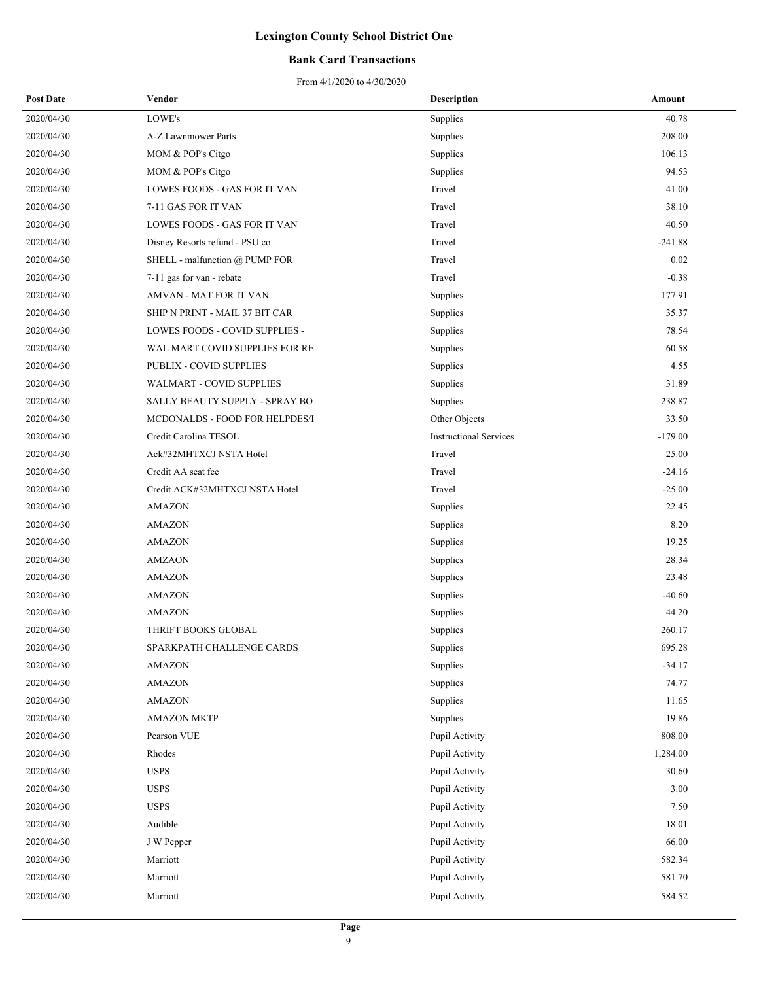### **Bank Card Transactions**

| <b>Post Date</b> | Vendor                         | Description                   | Amount    |
|------------------|--------------------------------|-------------------------------|-----------|
| 2020/04/30       | LOWE's                         | Supplies                      | 40.78     |
| 2020/04/30       | A-Z Lawnmower Parts            | Supplies                      | 208.00    |
| 2020/04/30       | MOM & POP's Citgo              | Supplies                      | 106.13    |
| 2020/04/30       | MOM & POP's Citgo              | Supplies                      | 94.53     |
| 2020/04/30       | LOWES FOODS - GAS FOR IT VAN   | Travel                        | 41.00     |
| 2020/04/30       | 7-11 GAS FOR IT VAN            | Travel                        | 38.10     |
| 2020/04/30       | LOWES FOODS - GAS FOR IT VAN   | Travel                        | 40.50     |
| 2020/04/30       | Disney Resorts refund - PSU co | Travel                        | $-241.88$ |
| 2020/04/30       | SHELL - malfunction @ PUMP FOR | Travel                        | 0.02      |
| 2020/04/30       | 7-11 gas for van - rebate      | Travel                        | $-0.38$   |
| 2020/04/30       | AMVAN - MAT FOR IT VAN         | Supplies                      | 177.91    |
| 2020/04/30       | SHIP N PRINT - MAIL 37 BIT CAR | Supplies                      | 35.37     |
| 2020/04/30       | LOWES FOODS - COVID SUPPLIES - | Supplies                      | 78.54     |
| 2020/04/30       | WAL MART COVID SUPPLIES FOR RE | Supplies                      | 60.58     |
| 2020/04/30       | PUBLIX - COVID SUPPLIES        | Supplies                      | 4.55      |
| 2020/04/30       | WALMART - COVID SUPPLIES       | Supplies                      | 31.89     |
| 2020/04/30       | SALLY BEAUTY SUPPLY - SPRAY BO | Supplies                      | 238.87    |
| 2020/04/30       | MCDONALDS - FOOD FOR HELPDES/I | Other Objects                 | 33.50     |
| 2020/04/30       | Credit Carolina TESOL          | <b>Instructional Services</b> | $-179.00$ |
| 2020/04/30       | Ack#32MHTXCJ NSTA Hotel        | Travel                        | 25.00     |
| 2020/04/30       | Credit AA seat fee             | Travel                        | $-24.16$  |
| 2020/04/30       | Credit ACK#32MHTXCJ NSTA Hotel | Travel                        | $-25.00$  |
| 2020/04/30       | <b>AMAZON</b>                  | Supplies                      | 22.45     |
| 2020/04/30       | <b>AMAZON</b>                  | Supplies                      | 8.20      |
| 2020/04/30       | <b>AMAZON</b>                  | Supplies                      | 19.25     |
| 2020/04/30       | <b>AMZAON</b>                  | Supplies                      | 28.34     |
| 2020/04/30       | <b>AMAZON</b>                  | Supplies                      | 23.48     |
| 2020/04/30       | <b>AMAZON</b>                  | Supplies                      | $-40.60$  |
| 2020/04/30       | <b>AMAZON</b>                  | Supplies                      | 44.20     |
| 2020/04/30       | THRIFT BOOKS GLOBAL            | Supplies                      | 260.17    |
| 2020/04/30       | SPARKPATH CHALLENGE CARDS      | Supplies                      | 695.28    |
| 2020/04/30       | <b>AMAZON</b>                  | Supplies                      | $-34.17$  |
| 2020/04/30       | AMAZON                         | Supplies                      | 74.77     |
| 2020/04/30       | <b>AMAZON</b>                  | Supplies                      | 11.65     |
| 2020/04/30       | <b>AMAZON MKTP</b>             | Supplies                      | 19.86     |
| 2020/04/30       | Pearson VUE                    | Pupil Activity                | 808.00    |
| 2020/04/30       | Rhodes                         | Pupil Activity                | 1,284.00  |
| 2020/04/30       | <b>USPS</b>                    | Pupil Activity                | 30.60     |
| 2020/04/30       | <b>USPS</b>                    | Pupil Activity                | 3.00      |
| 2020/04/30       | <b>USPS</b>                    | Pupil Activity                | 7.50      |
| 2020/04/30       | Audible                        | Pupil Activity                | 18.01     |
| 2020/04/30       | J W Pepper                     | Pupil Activity                | 66.00     |
| 2020/04/30       | Marriott                       | Pupil Activity                | 582.34    |
| 2020/04/30       | Marriott                       | Pupil Activity                | 581.70    |
| 2020/04/30       | Marriott                       | Pupil Activity                | 584.52    |
|                  |                                |                               |           |